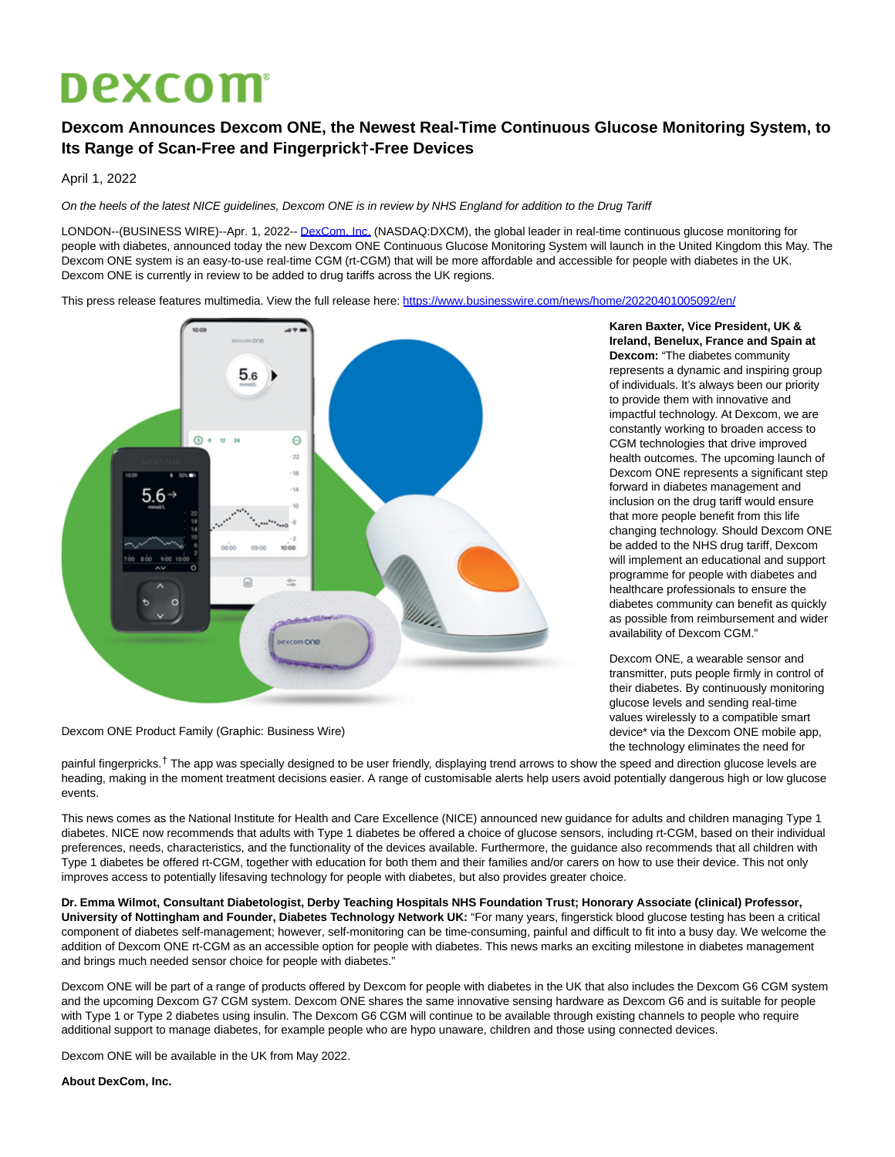## **Dexcom**

## **Dexcom Announces Dexcom ONE, the Newest Real-Time Continuous Glucose Monitoring System, to Its Range of Scan-Free and Fingerprick†-Free Devices**

April 1, 2022

On the heels of the latest NICE guidelines, Dexcom ONE is in review by NHS England for addition to the Drug Tariff

LONDON--(BUSINESS WIRE)--Apr. 1, 2022-- [DexCom, Inc. \(](https://cts.businesswire.com/ct/CT?id=smartlink&url=http%3A%2F%2Fwww.dexcom.com%2F&esheet=52638983&newsitemid=20220401005092&lan=en-US&anchor=DexCom%2C+Inc.&index=1&md5=8e9d5465664e0962c28323ae82341c8a)NASDAQ:DXCM), the global leader in real-time continuous glucose monitoring for people with diabetes, announced today the new Dexcom ONE Continuous Glucose Monitoring System will launch in the United Kingdom this May. The Dexcom ONE system is an easy-to-use real-time CGM (rt-CGM) that will be more affordable and accessible for people with diabetes in the UK. Dexcom ONE is currently in review to be added to drug tariffs across the UK regions.

This press release features multimedia. View the full release here:<https://www.businesswire.com/news/home/20220401005092/en/>



Dexcom ONE Product Family (Graphic: Business Wire)

painful fingerpricks.<sup>†</sup> The app was specially designed to be user friendly, displaying trend arrows to show the speed and direction glucose levels are heading, making in the moment treatment decisions easier. A range of customisable alerts help users avoid potentially dangerous high or low glucose events.

This news comes as the National Institute for Health and Care Excellence (NICE) announced new guidance for adults and children managing Type 1 diabetes. NICE now recommends that adults with Type 1 diabetes be offered a choice of glucose sensors, including rt-CGM, based on their individual preferences, needs, characteristics, and the functionality of the devices available. Furthermore, the guidance also recommends that all children with Type 1 diabetes be offered rt-CGM, together with education for both them and their families and/or carers on how to use their device. This not only improves access to potentially lifesaving technology for people with diabetes, but also provides greater choice.

**Dr. Emma Wilmot, Consultant Diabetologist, Derby Teaching Hospitals NHS Foundation Trust; Honorary Associate (clinical) Professor, University of Nottingham and Founder, Diabetes Technology Network UK:** "For many years, fingerstick blood glucose testing has been a critical component of diabetes self-management; however, self-monitoring can be time-consuming, painful and difficult to fit into a busy day. We welcome the addition of Dexcom ONE rt-CGM as an accessible option for people with diabetes. This news marks an exciting milestone in diabetes management and brings much needed sensor choice for people with diabetes."

Dexcom ONE will be part of a range of products offered by Dexcom for people with diabetes in the UK that also includes the Dexcom G6 CGM system and the upcoming Dexcom G7 CGM system. Dexcom ONE shares the same innovative sensing hardware as Dexcom G6 and is suitable for people with Type 1 or Type 2 diabetes using insulin. The Dexcom G6 CGM will continue to be available through existing channels to people who require additional support to manage diabetes, for example people who are hypo unaware, children and those using connected devices.

Dexcom ONE will be available in the UK from May 2022.

## **About DexCom, Inc.**

**Karen Baxter, Vice President, UK & Ireland, Benelux, France and Spain at Dexcom:** "The diabetes community represents a dynamic and inspiring group of individuals. It's always been our priority to provide them with innovative and impactful technology. At Dexcom, we are constantly working to broaden access to CGM technologies that drive improved health outcomes. The upcoming launch of Dexcom ONE represents a significant step forward in diabetes management and inclusion on the drug tariff would ensure that more people benefit from this life changing technology. Should Dexcom ONE be added to the NHS drug tariff, Dexcom will implement an educational and support programme for people with diabetes and healthcare professionals to ensure the diabetes community can benefit as quickly as possible from reimbursement and wider availability of Dexcom CGM."

Dexcom ONE, a wearable sensor and transmitter, puts people firmly in control of their diabetes. By continuously monitoring glucose levels and sending real-time values wirelessly to a compatible smart device\* via the Dexcom ONE mobile app, the technology eliminates the need for